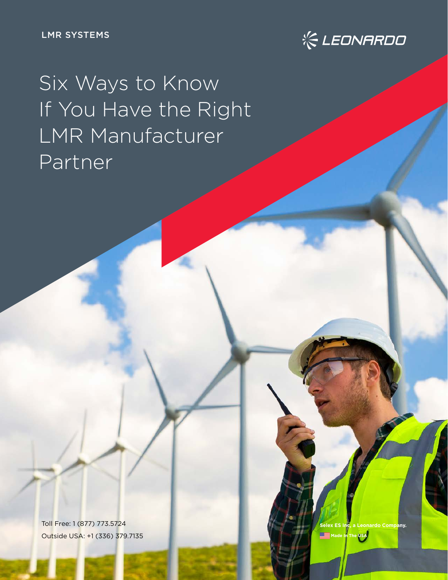LMR SYSTEMS



Six Ways to Know If You Have the Right LMR Manufacturer Partner

Toll Free: 1 (877) 773.5724 Outside USA: +1 (336) 379.7135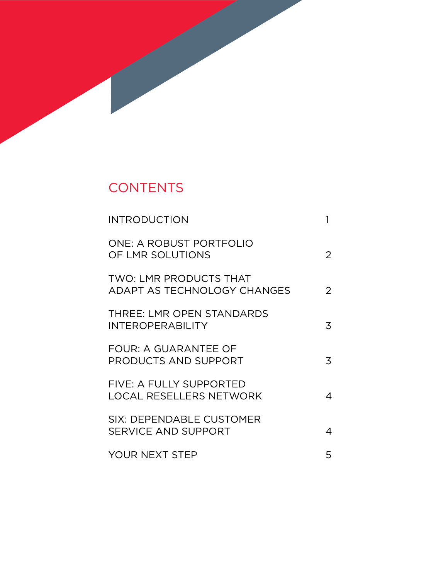# **CONTENTS**

| <b>INTRODUCTION</b>                                                 |   |
|---------------------------------------------------------------------|---|
| <b>ONE: A ROBUST PORTFOLIO</b><br>OF LMR SOLUTIONS                  | 2 |
| <b>TWO: LMR PRODUCTS THAT</b><br><b>ADAPT AS TECHNOLOGY CHANGES</b> | 2 |
| THREE: LMR OPEN STANDARDS<br><b>INTEROPERABILITY</b>                | 3 |
| <b>FOUR: A GUARANTEE OF</b><br>PRODUCTS AND SUPPORT                 | 3 |
| FIVE: A FULLY SUPPORTED<br>LOCAL RESELLERS NETWORK                  | 4 |
| <b>SIX: DEPENDABLE CUSTOMER</b><br><b>SERVICE AND SUPPORT</b>       | 4 |
| <b>YOUR NEXT STEP</b>                                               | 5 |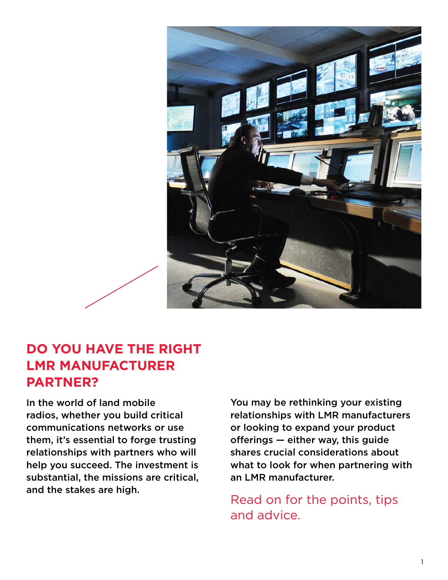<span id="page-2-0"></span>

## **DO YOU HAVE THE RIGHT LMR MANUFACTURER PARTNER?**

In the world of land mobile radios, whether you build critical communications networks or use them, it's essential to forge trusting relationships with partners who will help you succeed. The investment is substantial, the missions are critical, and the stakes are high.

You may be rethinking your existing relationships with LMR manufacturers or looking to expand your product offerings — either way, this guide shares crucial considerations about what to look for when partnering with an LMR manufacturer.

[Read on for the points, tips](#page-3-0) and advice.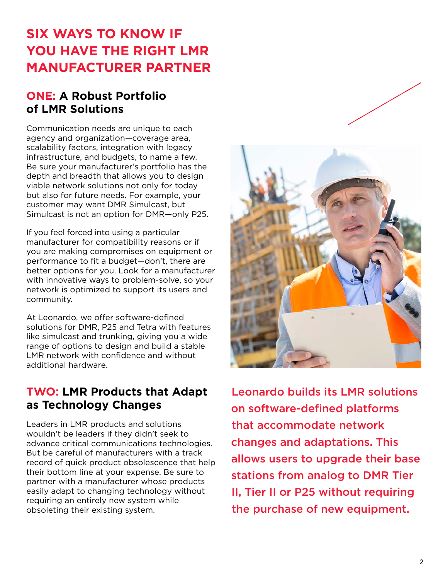## <span id="page-3-0"></span>**SIX WAYS TO KNOW IF YOU HAVE THE RIGHT LMR MANUFACTURER PARTNER**

#### **ONE: A Robust Portfolio of LMR Solutions**

Communication needs are unique to each agency and organization—coverage area, scalability factors, integration with legacy infrastructure, and budgets, to name a few. Be sure your manufacturer's portfolio has the depth and breadth that allows you to design viable network solutions not only for today but also for future needs. For example, your customer may want DMR Simulcast, but Simulcast is not an option for DMR—only P25.

If you feel forced into using a particular manufacturer for compatibility reasons or if you are making compromises on equipment or performance to fit a budget—don't, there are better options for you. Look for a manufacturer with innovative ways to problem-solve, so your network is optimized to support its users and community.

At Leonardo, we offer software-defined solutions for DMR, P25 and Tetra with features like simulcast and trunking, giving you a wide range of options to design and build a stable LMR network with confidence and without additional hardware.

#### **TWO: LMR Products that Adapt as Technology Changes**

Leaders in LMR products and solutions wouldn't be leaders if they didn't seek to advance critical communications technologies. But be careful of manufacturers with a track record of quick product obsolescence that help their bottom line at your expense. Be sure to partner with a manufacturer whose products easily adapt to changing technology without requiring an entirely new system while obsoleting their existing system.



Leonardo builds its LMR solutions on software-defined platforms that accommodate network changes and adaptations. This allows users to upgrade their base stations from analog to DMR Tier II, Tier II or P25 without requiring the purchase of new equipment.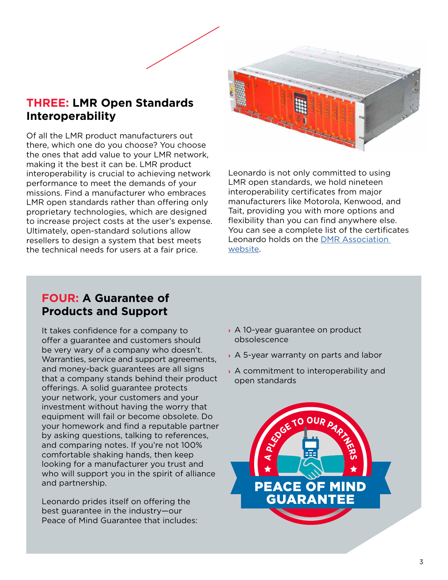#### <span id="page-4-0"></span>**THREE: LMR Open Standards Interoperability**

Of all the LMR product manufacturers out there, which one do you choose? You choose the ones that add value to your LMR network, making it the best it can be. LMR product interoperability is crucial to achieving network performance to meet the demands of your missions. Find a manufacturer who embraces LMR open standards rather than offering only proprietary technologies, which are designed to increase project costs at the user's expense. Ultimately, open-standard solutions allow resellers to design a system that best meets the technical needs for users at a fair price.



Leonardo is not only committed to using LMR open standards, we hold nineteen interoperability certificates from major manufacturers like Motorola, Kenwood, and Tait, providing you with more options and flexibility than you can find anywhere else. You can see a complete list of the certificates Leonardo holds on the [DMR Association](https://www.dmrassociation.org/leonardo.html)  [website](https://www.dmrassociation.org/leonardo.html).

#### **FOUR: A Guarantee of Products and Support**

It takes confidence for a company to offer a guarantee and customers should be very wary of a company who doesn't. Warranties, service and support agreements, and money-back guarantees are all signs that a company stands behind their product offerings. A solid guarantee protects your network, your customers and your investment without having the worry that equipment will fail or become obsolete. Do your homework and find a reputable partner by asking questions, talking to references, and comparing notes. If you're not 100% comfortable shaking hands, then keep looking for a manufacturer you trust and who will support you in the spirit of alliance and partnership.

Leonardo prides itself on offering the best guarantee in the industry—our Peace of Mind Guarantee that includes:

- **›** A 10-year guarantee on product obsolescence
- **›** A 5-year warranty on parts and labor
- **›** A commitment to interoperability and open standards

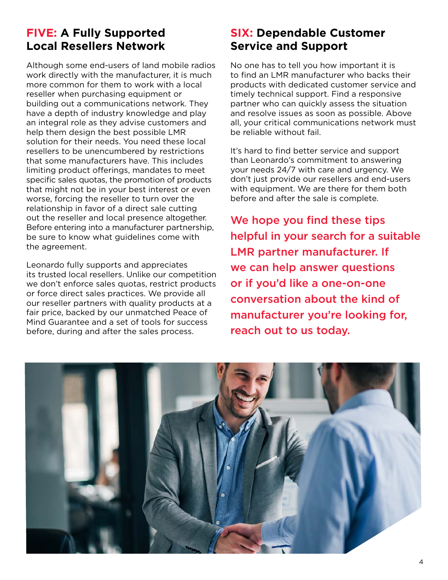#### <span id="page-5-0"></span>**FIVE: A Fully Supported Local Resellers Network**

Although some end-users of land mobile radios work directly with the manufacturer, it is much more common for them to work with a local reseller when purchasing equipment or building out a communications network. They have a depth of industry knowledge and play an integral role as they advise customers and help them design the best possible LMR solution for their needs. You need these local resellers to be unencumbered by restrictions that some manufacturers have. This includes limiting product offerings, mandates to meet specific sales quotas, the promotion of products that might not be in your best interest or even worse, forcing the reseller to turn over the relationship in favor of a direct sale cutting out the reseller and local presence altogether. Before entering into a manufacturer partnership, be sure to know what guidelines come with the agreement.

Leonardo fully supports and appreciates its trusted local resellers. Unlike our competition we don't enforce sales quotas, restrict products or force direct sales practices. We provide all our reseller partners with quality products at a fair price, backed by our unmatched Peace of Mind Guarantee and a set of tools for success before, during and after the sales process.

#### **SIX: Dependable Customer Service and Support**

No one has to tell you how important it is to find an LMR manufacturer who backs their products with dedicated customer service and timely technical support. Find a responsive partner who can quickly assess the situation and resolve issues as soon as possible. Above all, your critical communications network must be reliable without fail.

It's hard to find better service and support than Leonardo's commitment to answering your needs 24/7 with care and urgency. We don't just provide our resellers and end-users with equipment. We are there for them both before and after the sale is complete.

We hope you find these tips helpful in your search for a suitable LMR partner manufacturer. If we can help answer questions or if you'd like a one-on-one conversation about the kind of manufacturer you're looking for, reach out to us today.